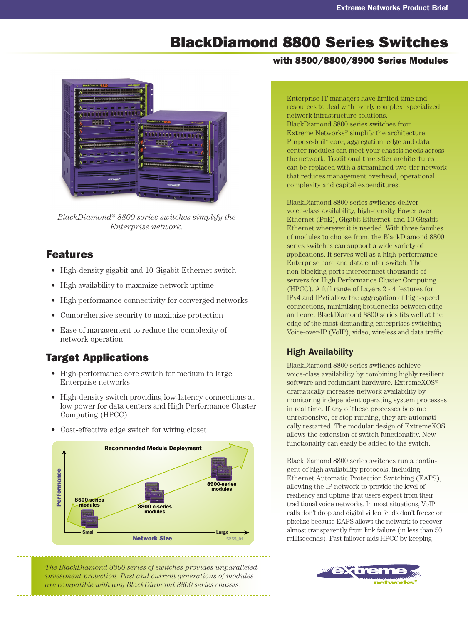# BlackDiamond 8800 Series Switches

#### with 8500/8800/8900 Series Modules



*BlackDiamond® 8800 series switches simplify the Enterprise network.*

#### Features

- High-density gigabit and 10 Gigabit Ethernet switch
- High availability to maximize network uptime
- High performance connectivity for converged networks
- Comprehensive security to maximize protection
- Ease of management to reduce the complexity of network operation

# Target Applications

- High-performance core switch for medium to large Enterprise networks
- High-density switch providing low-latency connections at low power for data centers and High Performance Cluster Computing (HPCC)
- Cost-effective edge switch for wiring closet





Enterprise IT managers have limited time and resources to deal with overly complex, specialized network infrastructure solutions. BlackDiamond 8800 series switches from Extreme Networks® simplify the architecture. Purpose-built core, aggregation, edge and data center modules can meet your chassis needs across the network. Traditional three-tier architectures can be replaced with a streamlined two-tier network that reduces management overhead, operational complexity and capital expenditures.

BlackDiamond 8800 series switches deliver voice-class availability, high-density Power over Ethernet (PoE), Gigabit Ethernet, and 10 Gigabit Ethernet wherever it is needed. With three families of modules to choose from, the BlackDiamond 8800 series switches can support a wide variety of applications. It serves well as a high-performance Enterprise core and data center switch. The non-blocking ports interconnect thousands of servers for High Performance Cluster Computing (HPCC). A full range of Layers 2 - 4 features for IPv4 and IPv6 allow the aggregation of high-speed connections, minimizing bottlenecks between edge and core. BlackDiamond 8800 series fits well at the edge of the most demanding enterprises switching Voice-over-IP (VoIP), video, wireless and data traffic.

## High Availability

BlackDiamond 8800 series switches achieve voice-class availability by combining highly resilient software and redundant hardware. ExtremeXOS® dramatically increases network availability by monitoring independent operating system processes in real time. If any of these processes become unresponsive, or stop running, they are automatically restarted. The modular design of ExtremeXOS allows the extension of switch functionality. New functionality can easily be added to the switch.

BlackDiamond 8800 series switches run a contingent of high availability protocols, including Ethernet Automatic Protection Switching (EAPS), allowing the IP network to provide the level of resiliency and uptime that users expect from their traditional voice networks. In most situations, VoIP calls don't drop and digital video feeds don't freeze or pixelize because EAPS allows the network to recover almost transparently from link failure (in less than 50 milliseconds). Fast failover aids HPCC by keeping